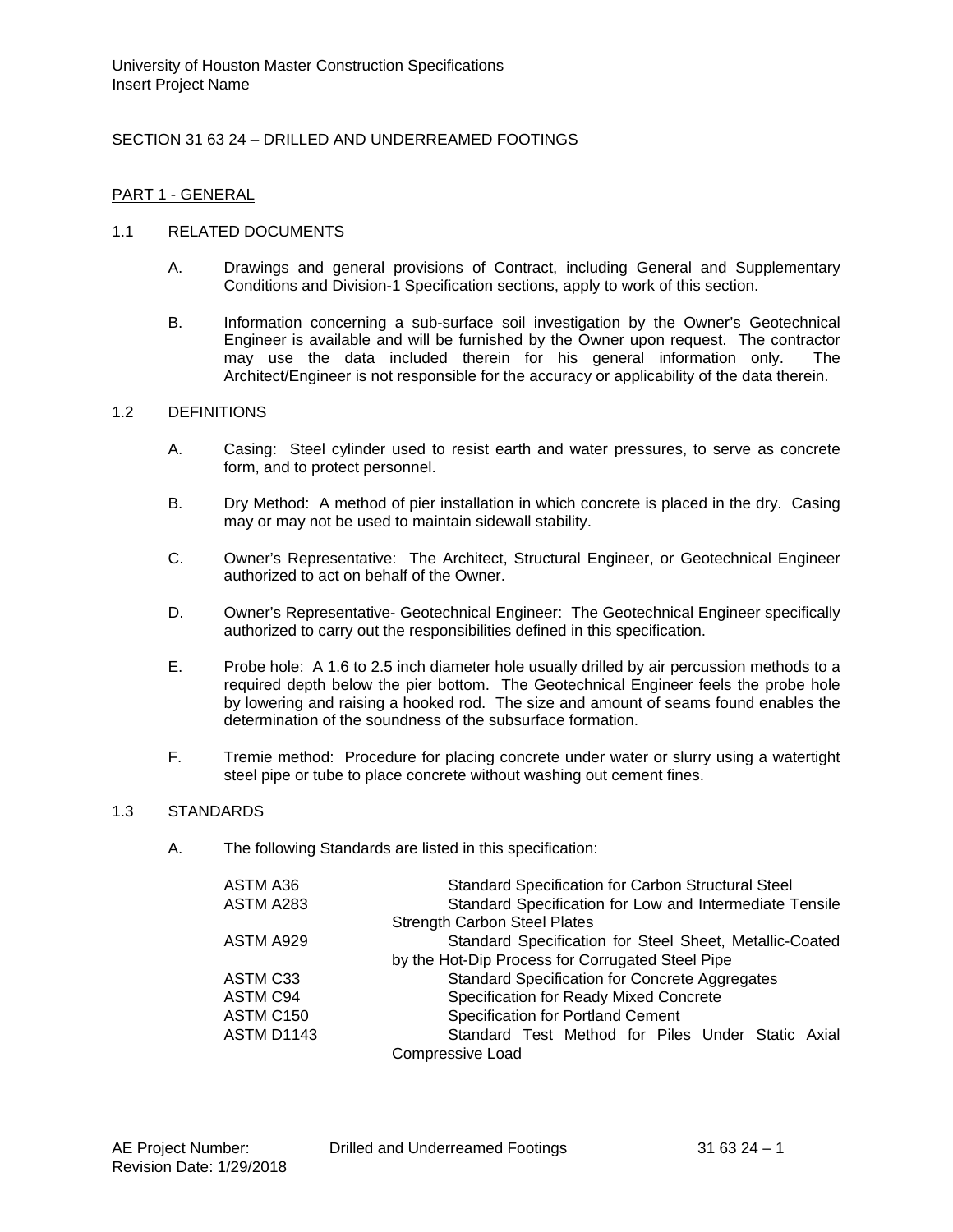# SECTION 31 63 24 – DRILLED AND UNDERREAMED FOOTINGS

### PART 1 - GENERAL

#### 1.1 RELATED DOCUMENTS

- A. Drawings and general provisions of Contract, including General and Supplementary Conditions and Division-1 Specification sections, apply to work of this section.
- B. Information concerning a sub-surface soil investigation by the Owner's Geotechnical Engineer is available and will be furnished by the Owner upon request. The contractor may use the data included therein for his general information only. The Architect/Engineer is not responsible for the accuracy or applicability of the data therein.

### 1.2 DEFINITIONS

- A. Casing: Steel cylinder used to resist earth and water pressures, to serve as concrete form, and to protect personnel.
- B. Dry Method: A method of pier installation in which concrete is placed in the dry. Casing may or may not be used to maintain sidewall stability.
- C. Owner's Representative: The Architect, Structural Engineer, or Geotechnical Engineer authorized to act on behalf of the Owner.
- D. Owner's Representative- Geotechnical Engineer: The Geotechnical Engineer specifically authorized to carry out the responsibilities defined in this specification.
- E. Probe hole: A 1.6 to 2.5 inch diameter hole usually drilled by air percussion methods to a required depth below the pier bottom. The Geotechnical Engineer feels the probe hole by lowering and raising a hooked rod. The size and amount of seams found enables the determination of the soundness of the subsurface formation.
- F. Tremie method: Procedure for placing concrete under water or slurry using a watertight steel pipe or tube to place concrete without washing out cement fines.

#### 1.3 STANDARDS

A. The following Standards are listed in this specification:

| ASTM A36   | Standard Specification for Carbon Structural Steel      |
|------------|---------------------------------------------------------|
| ASTM A283  | Standard Specification for Low and Intermediate Tensile |
|            | <b>Strength Carbon Steel Plates</b>                     |
| ASTM A929  | Standard Specification for Steel Sheet, Metallic-Coated |
|            | by the Hot-Dip Process for Corrugated Steel Pipe        |
| ASTM C33   | <b>Standard Specification for Concrete Aggregates</b>   |
| ASTM C94   | Specification for Ready Mixed Concrete                  |
| ASTM C150  | <b>Specification for Portland Cement</b>                |
| ASTM D1143 | Standard Test Method for Piles Under Static Axial       |
|            | <b>Compressive Load</b>                                 |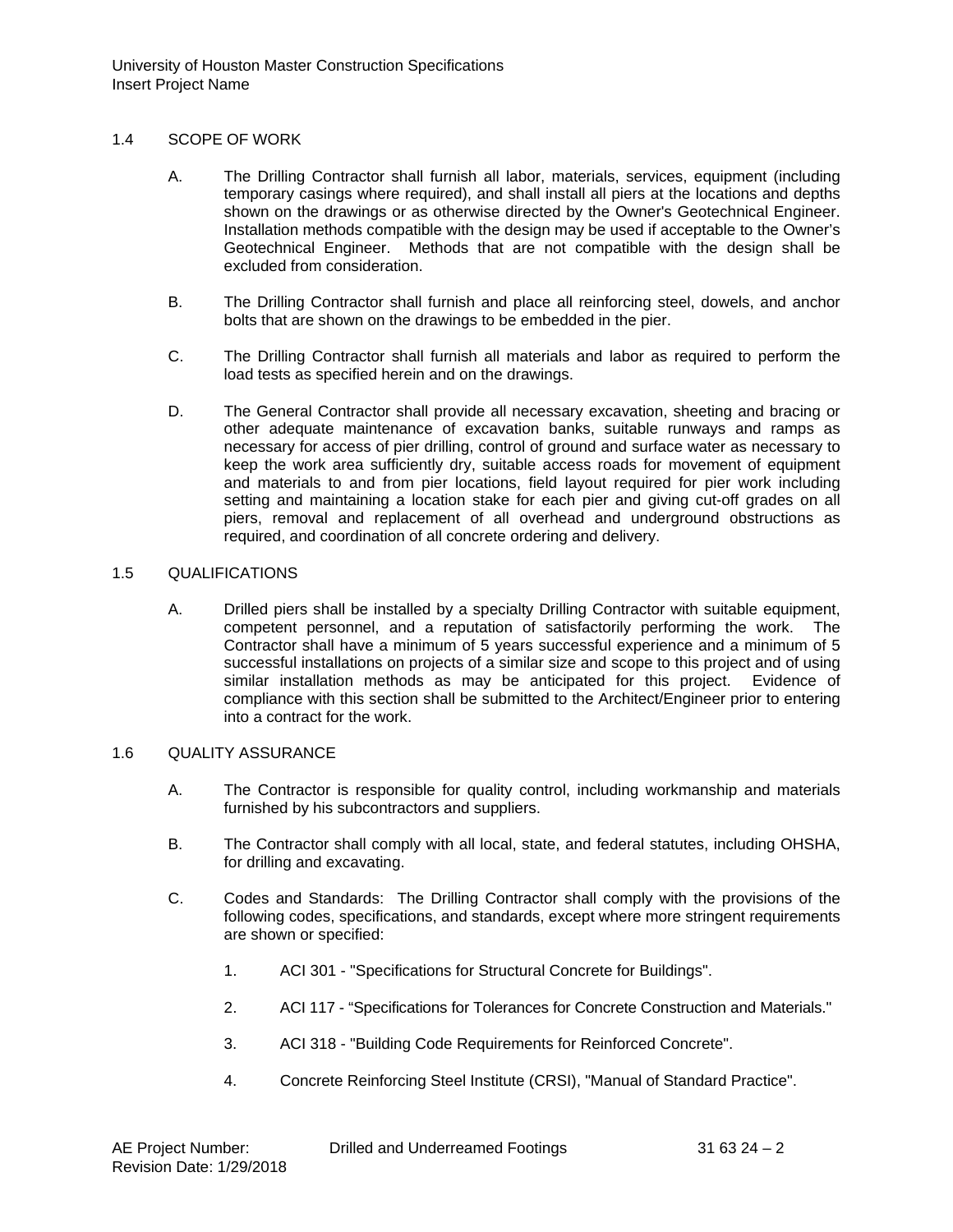### 1.4 SCOPE OF WORK

- A. The Drilling Contractor shall furnish all labor, materials, services, equipment (including temporary casings where required), and shall install all piers at the locations and depths shown on the drawings or as otherwise directed by the Owner's Geotechnical Engineer. Installation methods compatible with the design may be used if acceptable to the Owner's Geotechnical Engineer. Methods that are not compatible with the design shall be excluded from consideration.
- B. The Drilling Contractor shall furnish and place all reinforcing steel, dowels, and anchor bolts that are shown on the drawings to be embedded in the pier.
- C. The Drilling Contractor shall furnish all materials and labor as required to perform the load tests as specified herein and on the drawings.
- D. The General Contractor shall provide all necessary excavation, sheeting and bracing or other adequate maintenance of excavation banks, suitable runways and ramps as necessary for access of pier drilling, control of ground and surface water as necessary to keep the work area sufficiently dry, suitable access roads for movement of equipment and materials to and from pier locations, field layout required for pier work including setting and maintaining a location stake for each pier and giving cut-off grades on all piers, removal and replacement of all overhead and underground obstructions as required, and coordination of all concrete ordering and delivery.

### 1.5 QUALIFICATIONS

A. Drilled piers shall be installed by a specialty Drilling Contractor with suitable equipment, competent personnel, and a reputation of satisfactorily performing the work. The Contractor shall have a minimum of 5 years successful experience and a minimum of 5 successful installations on projects of a similar size and scope to this project and of using similar installation methods as may be anticipated for this project. Evidence of compliance with this section shall be submitted to the Architect/Engineer prior to entering into a contract for the work.

### 1.6 QUALITY ASSURANCE

- A. The Contractor is responsible for quality control, including workmanship and materials furnished by his subcontractors and suppliers.
- B. The Contractor shall comply with all local, state, and federal statutes, including OHSHA, for drilling and excavating.
- C. Codes and Standards: The Drilling Contractor shall comply with the provisions of the following codes, specifications, and standards, except where more stringent requirements are shown or specified:
	- 1. ACI 301 "Specifications for Structural Concrete for Buildings".
	- 2. ACI 117 "Specifications for Tolerances for Concrete Construction and Materials."
	- 3. ACI 318 "Building Code Requirements for Reinforced Concrete".
	- 4. Concrete Reinforcing Steel Institute (CRSI), "Manual of Standard Practice".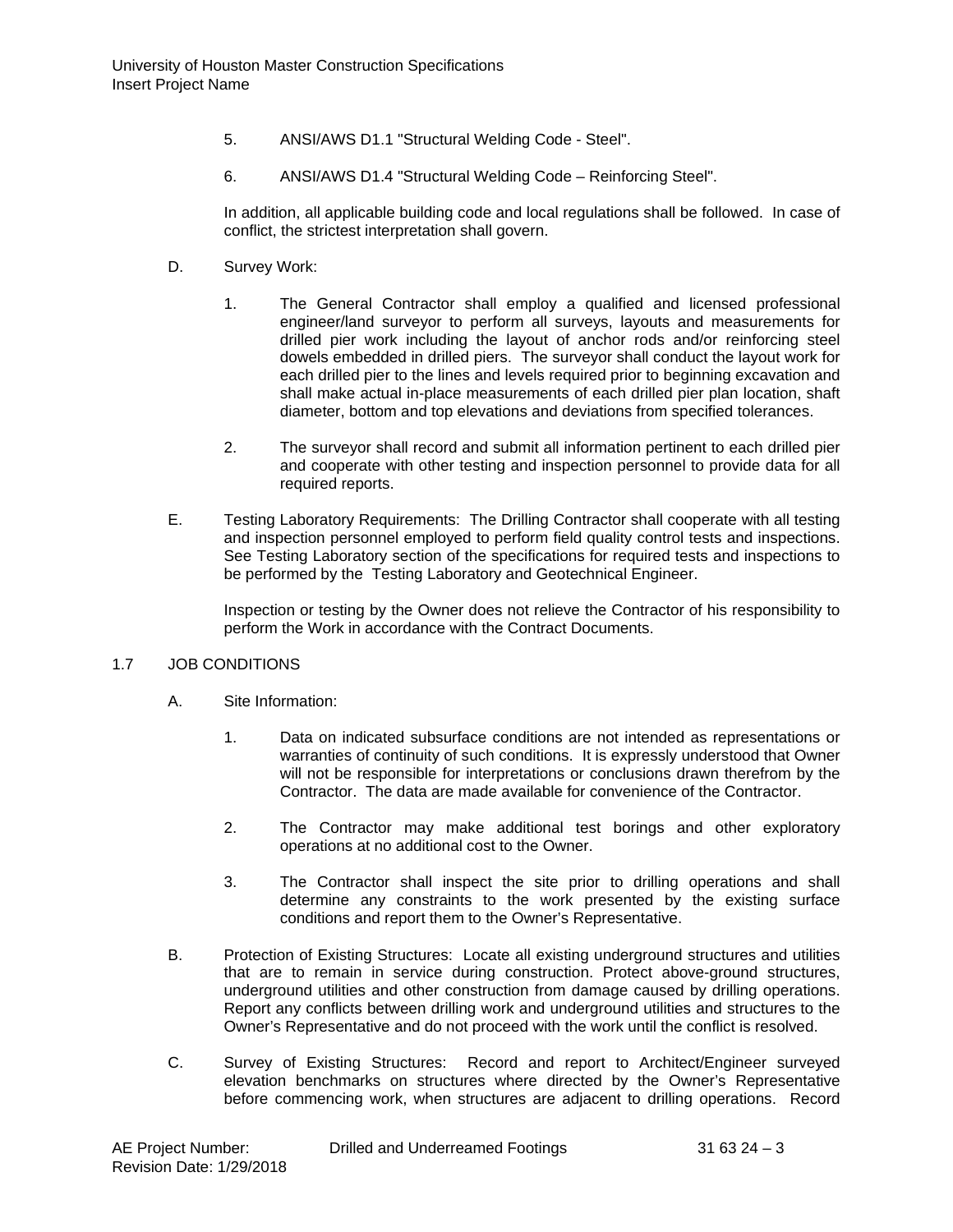- 5. ANSI/AWS D1.1 "Structural Welding Code Steel".
- 6. ANSI/AWS D1.4 "Structural Welding Code Reinforcing Steel".

In addition, all applicable building code and local regulations shall be followed. In case of conflict, the strictest interpretation shall govern.

- D. Survey Work:
	- 1. The General Contractor shall employ a qualified and licensed professional engineer/land surveyor to perform all surveys, layouts and measurements for drilled pier work including the layout of anchor rods and/or reinforcing steel dowels embedded in drilled piers. The surveyor shall conduct the layout work for each drilled pier to the lines and levels required prior to beginning excavation and shall make actual in-place measurements of each drilled pier plan location, shaft diameter, bottom and top elevations and deviations from specified tolerances.
	- 2. The surveyor shall record and submit all information pertinent to each drilled pier and cooperate with other testing and inspection personnel to provide data for all required reports.
- E. Testing Laboratory Requirements: The Drilling Contractor shall cooperate with all testing and inspection personnel employed to perform field quality control tests and inspections. See Testing Laboratory section of the specifications for required tests and inspections to be performed by the Testing Laboratory and Geotechnical Engineer.

Inspection or testing by the Owner does not relieve the Contractor of his responsibility to perform the Work in accordance with the Contract Documents.

# 1.7 JOB CONDITIONS

- A. Site Information:
	- 1. Data on indicated subsurface conditions are not intended as representations or warranties of continuity of such conditions. It is expressly understood that Owner will not be responsible for interpretations or conclusions drawn therefrom by the Contractor. The data are made available for convenience of the Contractor.
	- 2. The Contractor may make additional test borings and other exploratory operations at no additional cost to the Owner.
	- 3. The Contractor shall inspect the site prior to drilling operations and shall determine any constraints to the work presented by the existing surface conditions and report them to the Owner's Representative.
- B. Protection of Existing Structures: Locate all existing underground structures and utilities that are to remain in service during construction. Protect above-ground structures, underground utilities and other construction from damage caused by drilling operations. Report any conflicts between drilling work and underground utilities and structures to the Owner's Representative and do not proceed with the work until the conflict is resolved.
- C. Survey of Existing Structures: Record and report to Architect/Engineer surveyed elevation benchmarks on structures where directed by the Owner's Representative before commencing work, when structures are adjacent to drilling operations. Record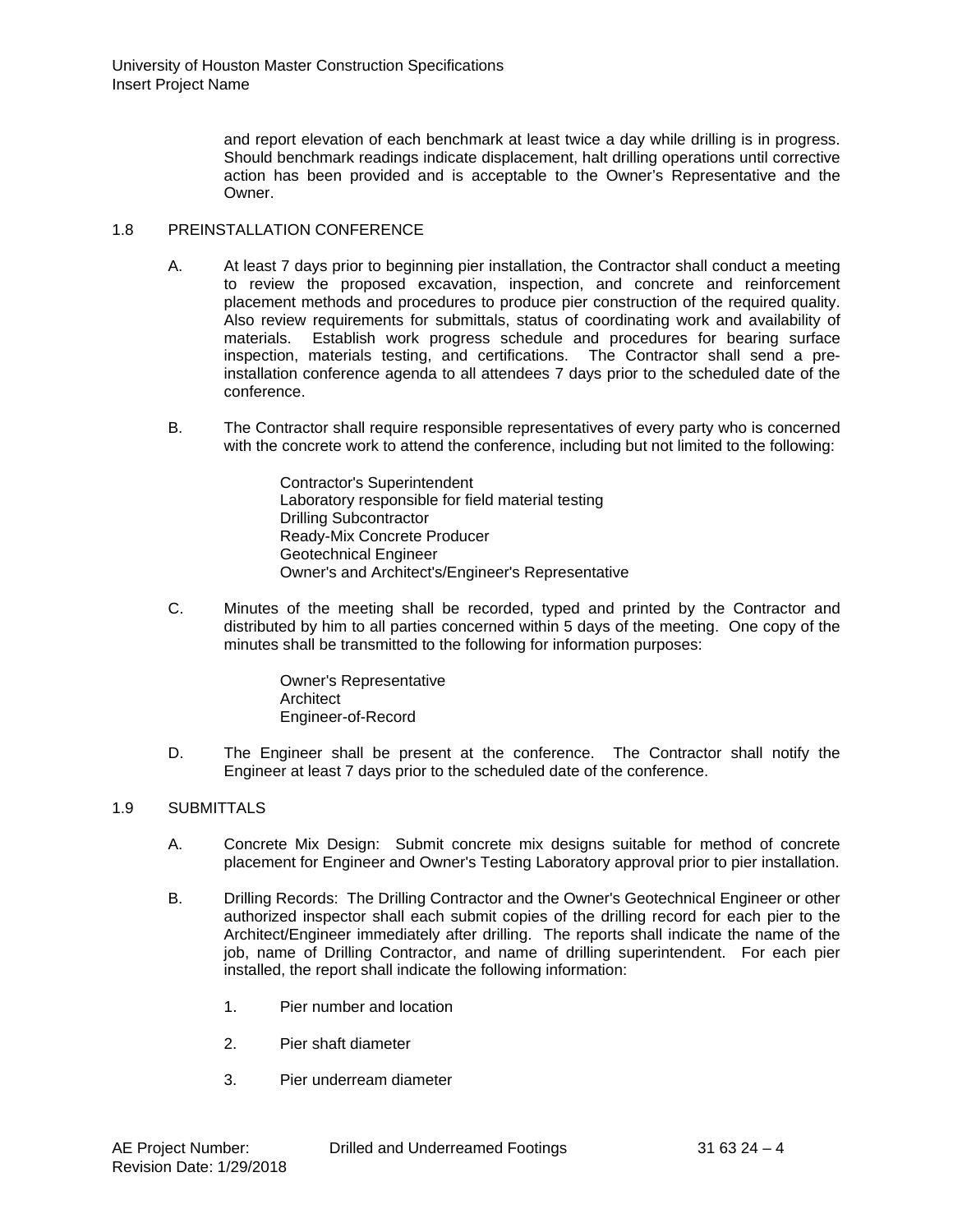and report elevation of each benchmark at least twice a day while drilling is in progress. Should benchmark readings indicate displacement, halt drilling operations until corrective action has been provided and is acceptable to the Owner's Representative and the **Owner** 

# 1.8 PREINSTALLATION CONFERENCE

- A. At least 7 days prior to beginning pier installation, the Contractor shall conduct a meeting to review the proposed excavation, inspection, and concrete and reinforcement placement methods and procedures to produce pier construction of the required quality. Also review requirements for submittals, status of coordinating work and availability of materials. Establish work progress schedule and procedures for bearing surface inspection, materials testing, and certifications. The Contractor shall send a preinstallation conference agenda to all attendees 7 days prior to the scheduled date of the conference.
- B. The Contractor shall require responsible representatives of every party who is concerned with the concrete work to attend the conference, including but not limited to the following:

Contractor's Superintendent Laboratory responsible for field material testing Drilling Subcontractor Ready-Mix Concrete Producer Geotechnical Engineer Owner's and Architect's/Engineer's Representative

C. Minutes of the meeting shall be recorded, typed and printed by the Contractor and distributed by him to all parties concerned within 5 days of the meeting. One copy of the minutes shall be transmitted to the following for information purposes:

> Owner's Representative **Architect** Engineer-of-Record

D. The Engineer shall be present at the conference. The Contractor shall notify the Engineer at least 7 days prior to the scheduled date of the conference.

# 1.9 SUBMITTALS

- A. Concrete Mix Design: Submit concrete mix designs suitable for method of concrete placement for Engineer and Owner's Testing Laboratory approval prior to pier installation.
- B. Drilling Records: The Drilling Contractor and the Owner's Geotechnical Engineer or other authorized inspector shall each submit copies of the drilling record for each pier to the Architect/Engineer immediately after drilling. The reports shall indicate the name of the job, name of Drilling Contractor, and name of drilling superintendent. For each pier installed, the report shall indicate the following information:
	- 1. Pier number and location
	- 2. Pier shaft diameter
	- 3. Pier underream diameter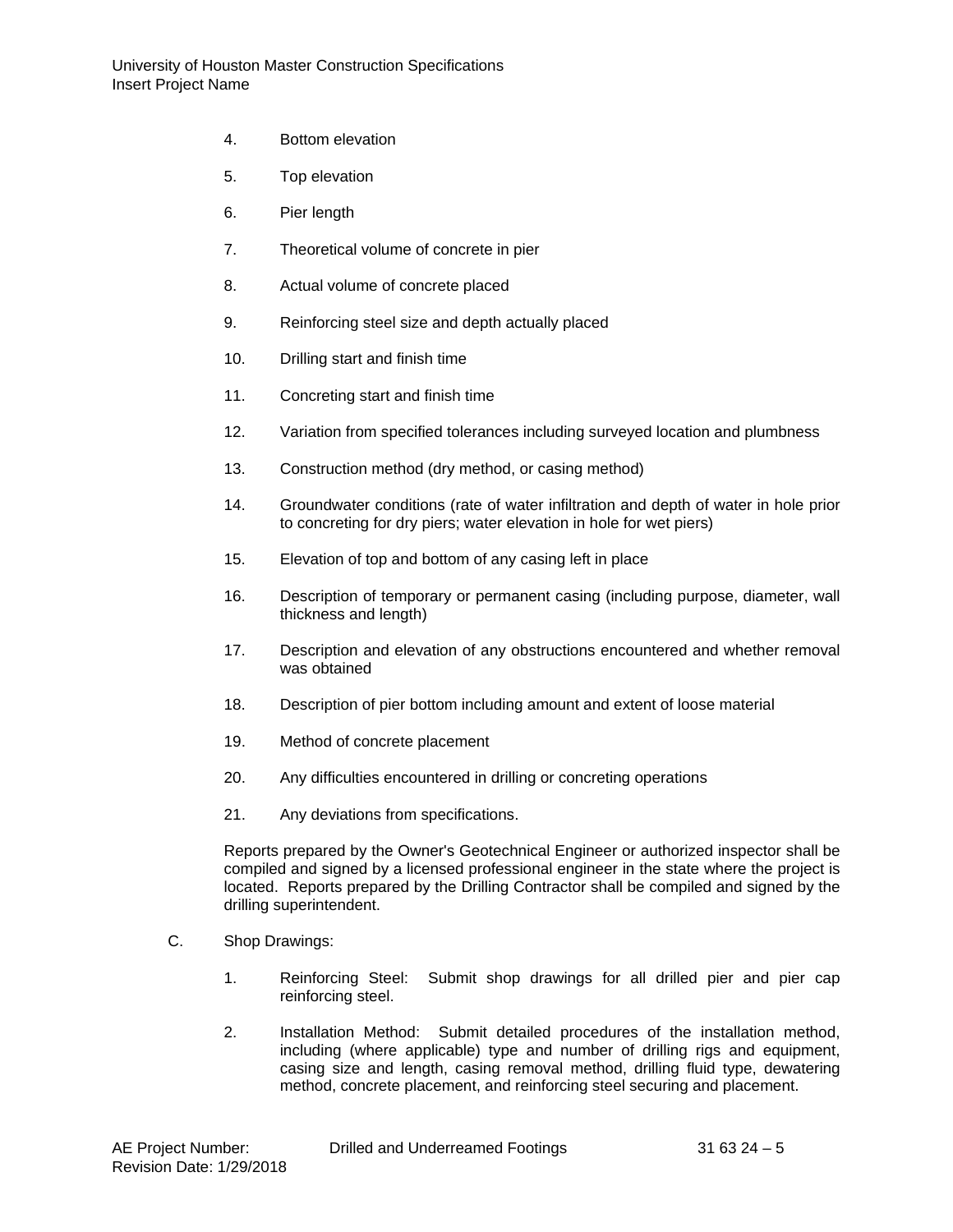- 4. Bottom elevation
- 5. Top elevation
- 6. Pier length
- 7. Theoretical volume of concrete in pier
- 8. Actual volume of concrete placed
- 9. Reinforcing steel size and depth actually placed
- 10. Drilling start and finish time
- 11. Concreting start and finish time
- 12. Variation from specified tolerances including surveyed location and plumbness
- 13. Construction method (dry method, or casing method)
- 14. Groundwater conditions (rate of water infiltration and depth of water in hole prior to concreting for dry piers; water elevation in hole for wet piers)
- 15. Elevation of top and bottom of any casing left in place
- 16. Description of temporary or permanent casing (including purpose, diameter, wall thickness and length)
- 17. Description and elevation of any obstructions encountered and whether removal was obtained
- 18. Description of pier bottom including amount and extent of loose material
- 19. Method of concrete placement
- 20. Any difficulties encountered in drilling or concreting operations
- 21. Any deviations from specifications.

Reports prepared by the Owner's Geotechnical Engineer or authorized inspector shall be compiled and signed by a licensed professional engineer in the state where the project is located. Reports prepared by the Drilling Contractor shall be compiled and signed by the drilling superintendent.

- C. Shop Drawings:
	- 1. Reinforcing Steel: Submit shop drawings for all drilled pier and pier cap reinforcing steel.
	- 2. Installation Method: Submit detailed procedures of the installation method, including (where applicable) type and number of drilling rigs and equipment, casing size and length, casing removal method, drilling fluid type, dewatering method, concrete placement, and reinforcing steel securing and placement.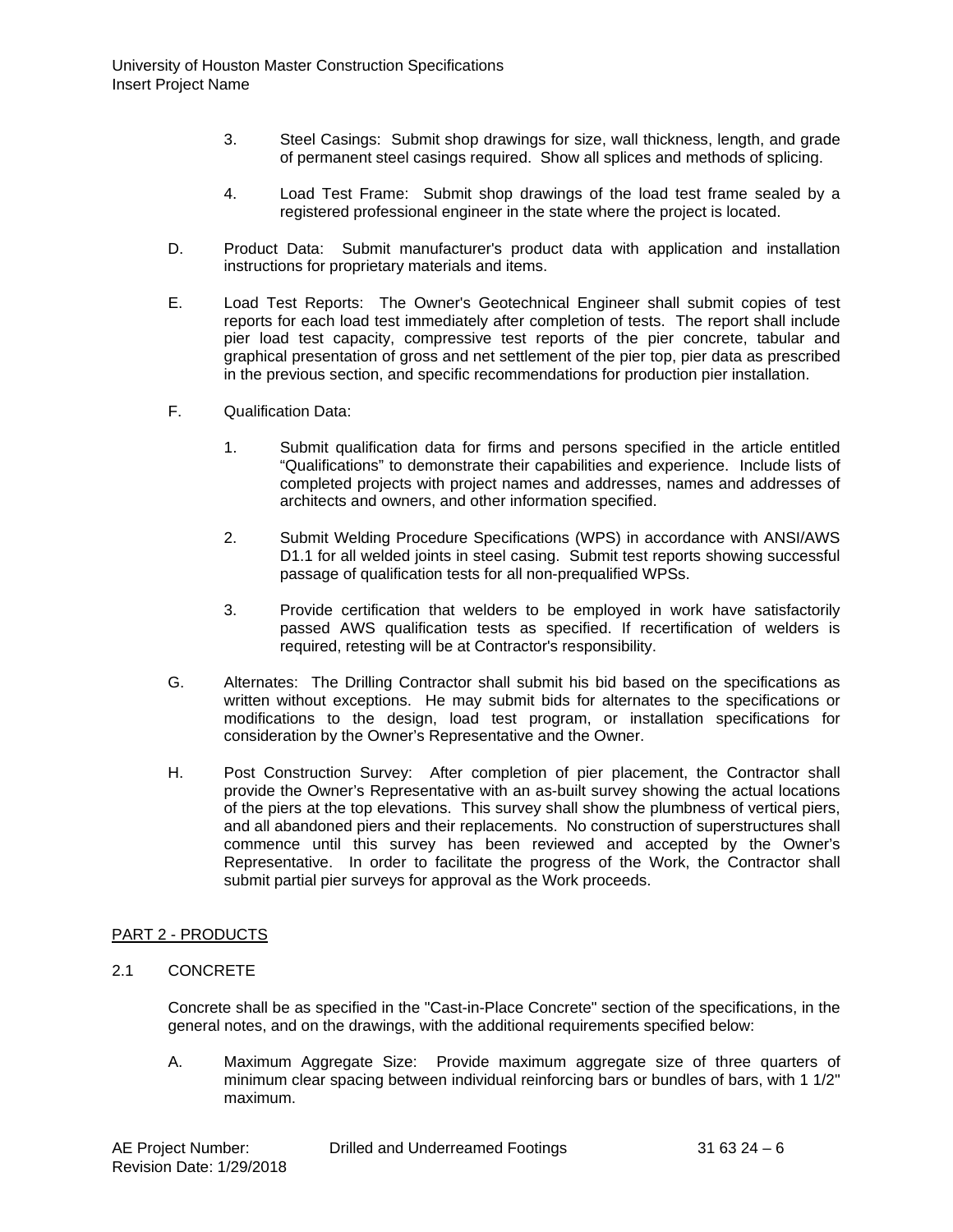- 3. Steel Casings: Submit shop drawings for size, wall thickness, length, and grade of permanent steel casings required. Show all splices and methods of splicing.
- 4. Load Test Frame: Submit shop drawings of the load test frame sealed by a registered professional engineer in the state where the project is located.
- D. Product Data: Submit manufacturer's product data with application and installation instructions for proprietary materials and items.
- E. Load Test Reports: The Owner's Geotechnical Engineer shall submit copies of test reports for each load test immediately after completion of tests. The report shall include pier load test capacity, compressive test reports of the pier concrete, tabular and graphical presentation of gross and net settlement of the pier top, pier data as prescribed in the previous section, and specific recommendations for production pier installation.
- F. Qualification Data:
	- 1. Submit qualification data for firms and persons specified in the article entitled "Qualifications" to demonstrate their capabilities and experience. Include lists of completed projects with project names and addresses, names and addresses of architects and owners, and other information specified.
	- 2. Submit Welding Procedure Specifications (WPS) in accordance with ANSI/AWS D1.1 for all welded joints in steel casing. Submit test reports showing successful passage of qualification tests for all non-prequalified WPSs.
	- 3. Provide certification that welders to be employed in work have satisfactorily passed AWS qualification tests as specified. If recertification of welders is required, retesting will be at Contractor's responsibility.
- G. Alternates: The Drilling Contractor shall submit his bid based on the specifications as written without exceptions. He may submit bids for alternates to the specifications or modifications to the design, load test program, or installation specifications for consideration by the Owner's Representative and the Owner.
- H. Post Construction Survey: After completion of pier placement, the Contractor shall provide the Owner's Representative with an as-built survey showing the actual locations of the piers at the top elevations. This survey shall show the plumbness of vertical piers, and all abandoned piers and their replacements. No construction of superstructures shall commence until this survey has been reviewed and accepted by the Owner's Representative. In order to facilitate the progress of the Work, the Contractor shall submit partial pier surveys for approval as the Work proceeds.

# PART 2 - PRODUCTS

# 2.1 CONCRETE

Concrete shall be as specified in the "Cast-in-Place Concrete" section of the specifications, in the general notes, and on the drawings, with the additional requirements specified below:

A. Maximum Aggregate Size: Provide maximum aggregate size of three quarters of minimum clear spacing between individual reinforcing bars or bundles of bars, with 1 1/2" maximum.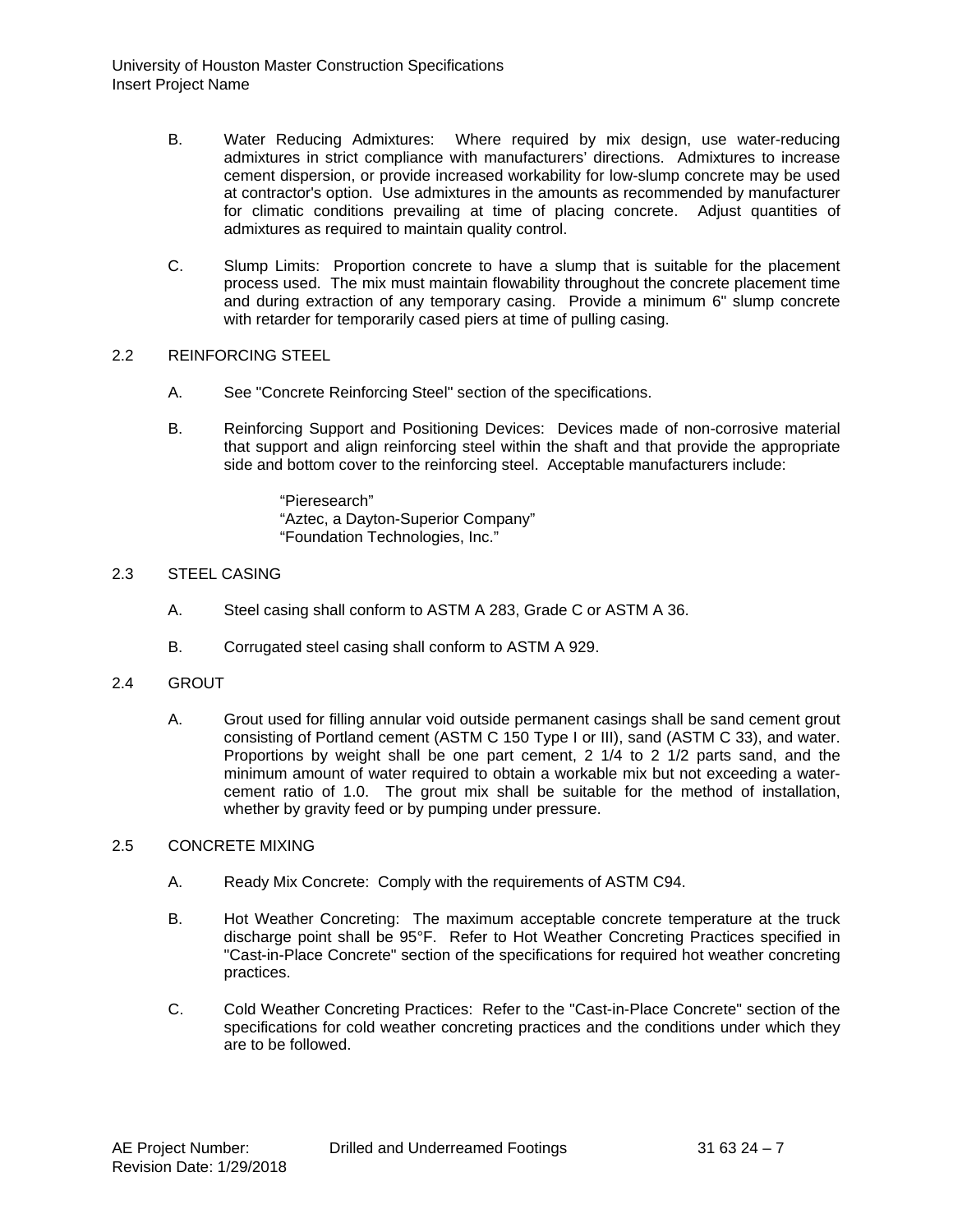- B. Water Reducing Admixtures: Where required by mix design, use water-reducing admixtures in strict compliance with manufacturers' directions. Admixtures to increase cement dispersion, or provide increased workability for low-slump concrete may be used at contractor's option. Use admixtures in the amounts as recommended by manufacturer for climatic conditions prevailing at time of placing concrete. Adjust quantities of admixtures as required to maintain quality control.
- C. Slump Limits: Proportion concrete to have a slump that is suitable for the placement process used. The mix must maintain flowability throughout the concrete placement time and during extraction of any temporary casing. Provide a minimum 6" slump concrete with retarder for temporarily cased piers at time of pulling casing.

### 2.2 REINFORCING STEEL

- A. See "Concrete Reinforcing Steel" section of the specifications.
- B. Reinforcing Support and Positioning Devices: Devices made of non-corrosive material that support and align reinforcing steel within the shaft and that provide the appropriate side and bottom cover to the reinforcing steel. Acceptable manufacturers include:

"Pieresearch" "Aztec, a Dayton-Superior Company" "Foundation Technologies, Inc."

# 2.3 STEEL CASING

- A. Steel casing shall conform to ASTM A 283, Grade C or ASTM A 36.
- B. Corrugated steel casing shall conform to ASTM A 929.
- 2.4 GROUT
	- A. Grout used for filling annular void outside permanent casings shall be sand cement grout consisting of Portland cement (ASTM C 150 Type I or III), sand (ASTM C 33), and water. Proportions by weight shall be one part cement, 2 1/4 to 2 1/2 parts sand, and the minimum amount of water required to obtain a workable mix but not exceeding a watercement ratio of 1.0. The grout mix shall be suitable for the method of installation, whether by gravity feed or by pumping under pressure.

#### 2.5 CONCRETE MIXING

- A. Ready Mix Concrete: Comply with the requirements of ASTM C94.
- B. Hot Weather Concreting: The maximum acceptable concrete temperature at the truck discharge point shall be 95°F. Refer to Hot Weather Concreting Practices specified in "Cast-in-Place Concrete" section of the specifications for required hot weather concreting practices.
- C. Cold Weather Concreting Practices: Refer to the "Cast-in-Place Concrete" section of the specifications for cold weather concreting practices and the conditions under which they are to be followed.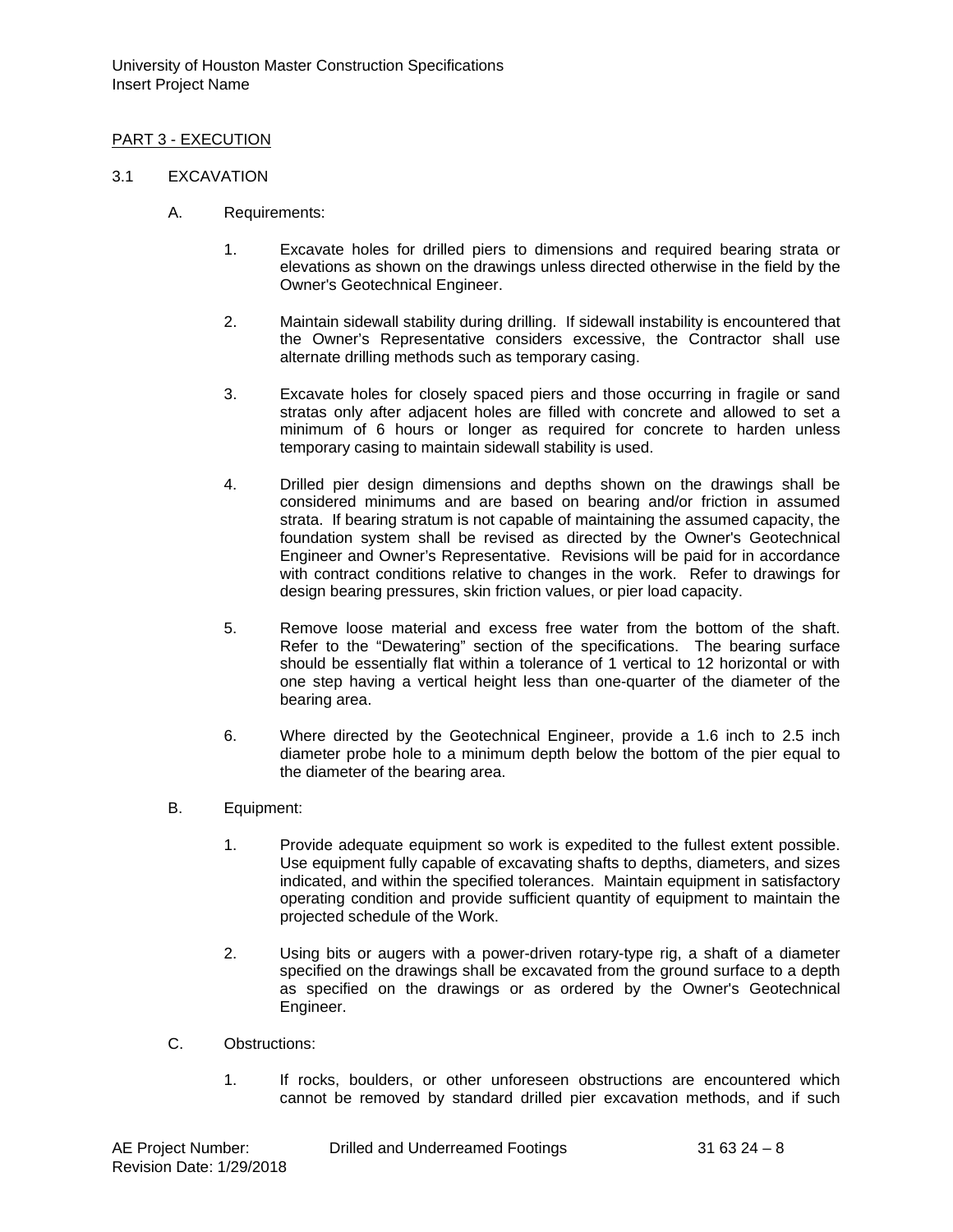# PART 3 - EXECUTION

### 3.1 EXCAVATION

- A. Requirements:
	- 1. Excavate holes for drilled piers to dimensions and required bearing strata or elevations as shown on the drawings unless directed otherwise in the field by the Owner's Geotechnical Engineer.
	- 2. Maintain sidewall stability during drilling. If sidewall instability is encountered that the Owner's Representative considers excessive, the Contractor shall use alternate drilling methods such as temporary casing.
	- 3. Excavate holes for closely spaced piers and those occurring in fragile or sand stratas only after adjacent holes are filled with concrete and allowed to set a minimum of 6 hours or longer as required for concrete to harden unless temporary casing to maintain sidewall stability is used.
	- 4. Drilled pier design dimensions and depths shown on the drawings shall be considered minimums and are based on bearing and/or friction in assumed strata. If bearing stratum is not capable of maintaining the assumed capacity, the foundation system shall be revised as directed by the Owner's Geotechnical Engineer and Owner's Representative. Revisions will be paid for in accordance with contract conditions relative to changes in the work. Refer to drawings for design bearing pressures, skin friction values, or pier load capacity.
	- 5. Remove loose material and excess free water from the bottom of the shaft. Refer to the "Dewatering" section of the specifications. The bearing surface should be essentially flat within a tolerance of 1 vertical to 12 horizontal or with one step having a vertical height less than one-quarter of the diameter of the bearing area.
	- 6. Where directed by the Geotechnical Engineer, provide a 1.6 inch to 2.5 inch diameter probe hole to a minimum depth below the bottom of the pier equal to the diameter of the bearing area.
- B. Equipment:
	- 1. Provide adequate equipment so work is expedited to the fullest extent possible. Use equipment fully capable of excavating shafts to depths, diameters, and sizes indicated, and within the specified tolerances. Maintain equipment in satisfactory operating condition and provide sufficient quantity of equipment to maintain the projected schedule of the Work.
	- 2. Using bits or augers with a power-driven rotary-type rig, a shaft of a diameter specified on the drawings shall be excavated from the ground surface to a depth as specified on the drawings or as ordered by the Owner's Geotechnical Engineer.
- C. Obstructions:
	- 1. If rocks, boulders, or other unforeseen obstructions are encountered which cannot be removed by standard drilled pier excavation methods, and if such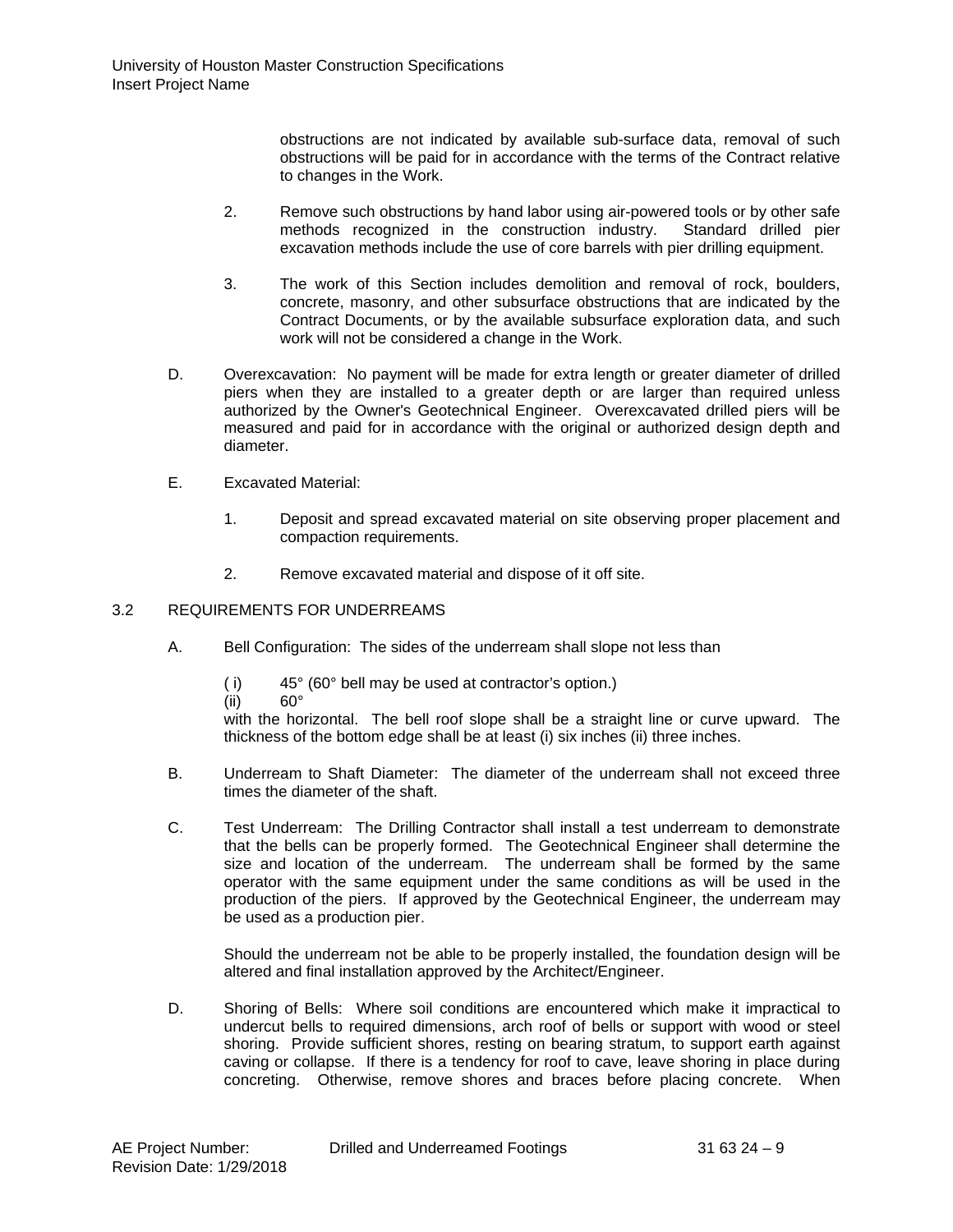obstructions are not indicated by available sub-surface data, removal of such obstructions will be paid for in accordance with the terms of the Contract relative to changes in the Work.

- 2. Remove such obstructions by hand labor using air-powered tools or by other safe<br>methods recognized in the construction industry. Standard drilled pier methods recognized in the construction industry. excavation methods include the use of core barrels with pier drilling equipment.
- 3. The work of this Section includes demolition and removal of rock, boulders, concrete, masonry, and other subsurface obstructions that are indicated by the Contract Documents, or by the available subsurface exploration data, and such work will not be considered a change in the Work.
- D. Overexcavation: No payment will be made for extra length or greater diameter of drilled piers when they are installed to a greater depth or are larger than required unless authorized by the Owner's Geotechnical Engineer. Overexcavated drilled piers will be measured and paid for in accordance with the original or authorized design depth and diameter.
- E. Excavated Material:
	- 1. Deposit and spread excavated material on site observing proper placement and compaction requirements.
	- 2. Remove excavated material and dispose of it off site.

# 3.2 REQUIREMENTS FOR UNDERREAMS

- A. Bell Configuration: The sides of the underream shall slope not less than
	- (i)  $45^\circ$  (60° bell may be used at contractor's option.)<br>(ii)  $60^\circ$
	- $(ii)$

with the horizontal. The bell roof slope shall be a straight line or curve upward. The thickness of the bottom edge shall be at least (i) six inches (ii) three inches.

- B. Underream to Shaft Diameter: The diameter of the underream shall not exceed three times the diameter of the shaft.
- C. Test Underream: The Drilling Contractor shall install a test underream to demonstrate that the bells can be properly formed. The Geotechnical Engineer shall determine the size and location of the underream. The underream shall be formed by the same operator with the same equipment under the same conditions as will be used in the production of the piers. If approved by the Geotechnical Engineer, the underream may be used as a production pier.

Should the underream not be able to be properly installed, the foundation design will be altered and final installation approved by the Architect/Engineer.

D. Shoring of Bells: Where soil conditions are encountered which make it impractical to undercut bells to required dimensions, arch roof of bells or support with wood or steel shoring. Provide sufficient shores, resting on bearing stratum, to support earth against caving or collapse. If there is a tendency for roof to cave, leave shoring in place during concreting. Otherwise, remove shores and braces before placing concrete. When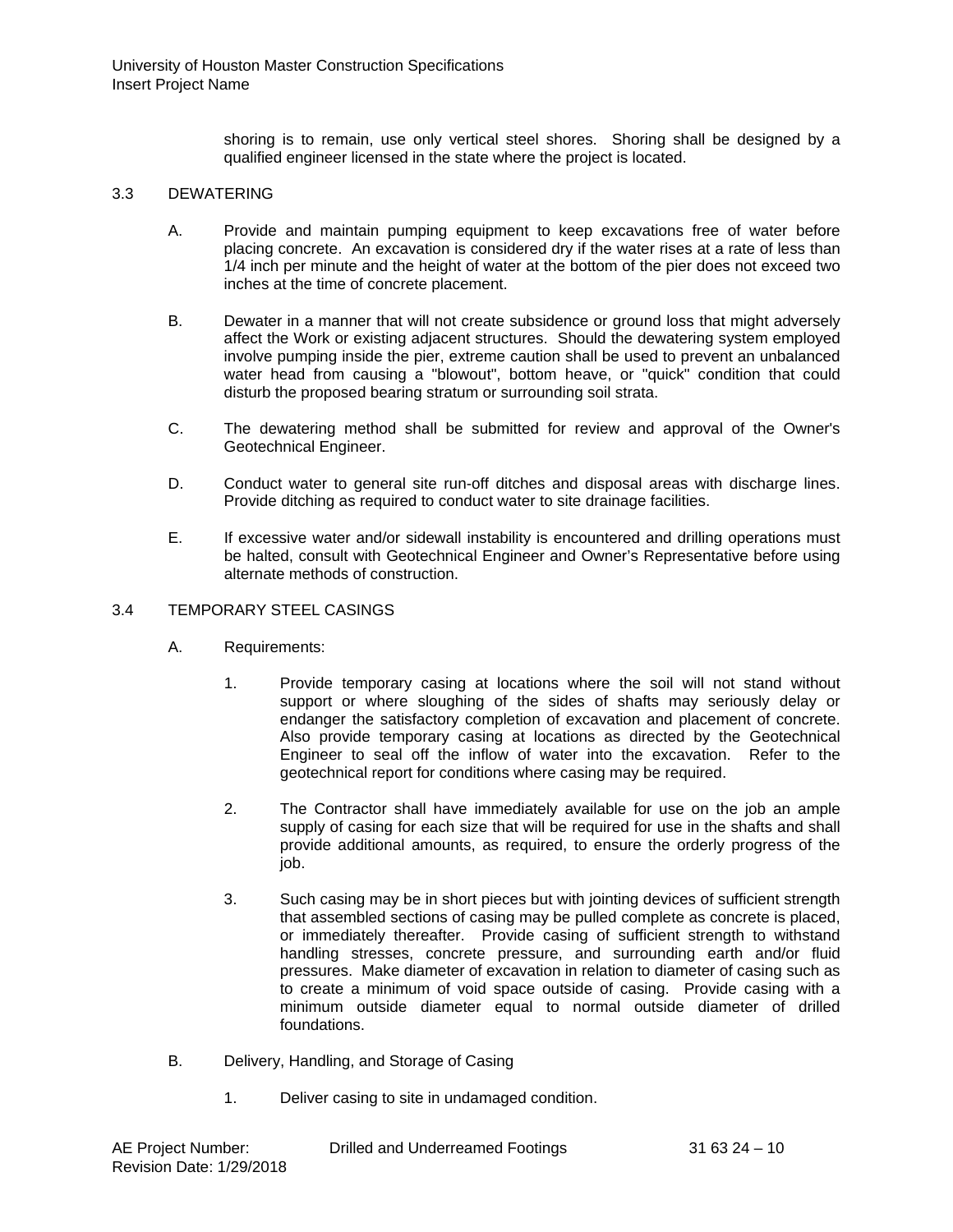shoring is to remain, use only vertical steel shores. Shoring shall be designed by a qualified engineer licensed in the state where the project is located.

#### 3.3 DEWATERING

- A. Provide and maintain pumping equipment to keep excavations free of water before placing concrete. An excavation is considered dry if the water rises at a rate of less than 1/4 inch per minute and the height of water at the bottom of the pier does not exceed two inches at the time of concrete placement.
- B. Dewater in a manner that will not create subsidence or ground loss that might adversely affect the Work or existing adjacent structures. Should the dewatering system employed involve pumping inside the pier, extreme caution shall be used to prevent an unbalanced water head from causing a "blowout", bottom heave, or "quick" condition that could disturb the proposed bearing stratum or surrounding soil strata.
- C. The dewatering method shall be submitted for review and approval of the Owner's Geotechnical Engineer.
- D. Conduct water to general site run-off ditches and disposal areas with discharge lines. Provide ditching as required to conduct water to site drainage facilities.
- E. If excessive water and/or sidewall instability is encountered and drilling operations must be halted, consult with Geotechnical Engineer and Owner's Representative before using alternate methods of construction.

### 3.4 TEMPORARY STEEL CASINGS

- A. Requirements:
	- 1. Provide temporary casing at locations where the soil will not stand without support or where sloughing of the sides of shafts may seriously delay or endanger the satisfactory completion of excavation and placement of concrete. Also provide temporary casing at locations as directed by the Geotechnical Engineer to seal off the inflow of water into the excavation. Refer to the geotechnical report for conditions where casing may be required.
	- 2. The Contractor shall have immediately available for use on the job an ample supply of casing for each size that will be required for use in the shafts and shall provide additional amounts, as required, to ensure the orderly progress of the job.
	- 3. Such casing may be in short pieces but with jointing devices of sufficient strength that assembled sections of casing may be pulled complete as concrete is placed, or immediately thereafter. Provide casing of sufficient strength to withstand handling stresses, concrete pressure, and surrounding earth and/or fluid pressures. Make diameter of excavation in relation to diameter of casing such as to create a minimum of void space outside of casing. Provide casing with a minimum outside diameter equal to normal outside diameter of drilled foundations.
- B. Delivery, Handling, and Storage of Casing
	- 1. Deliver casing to site in undamaged condition.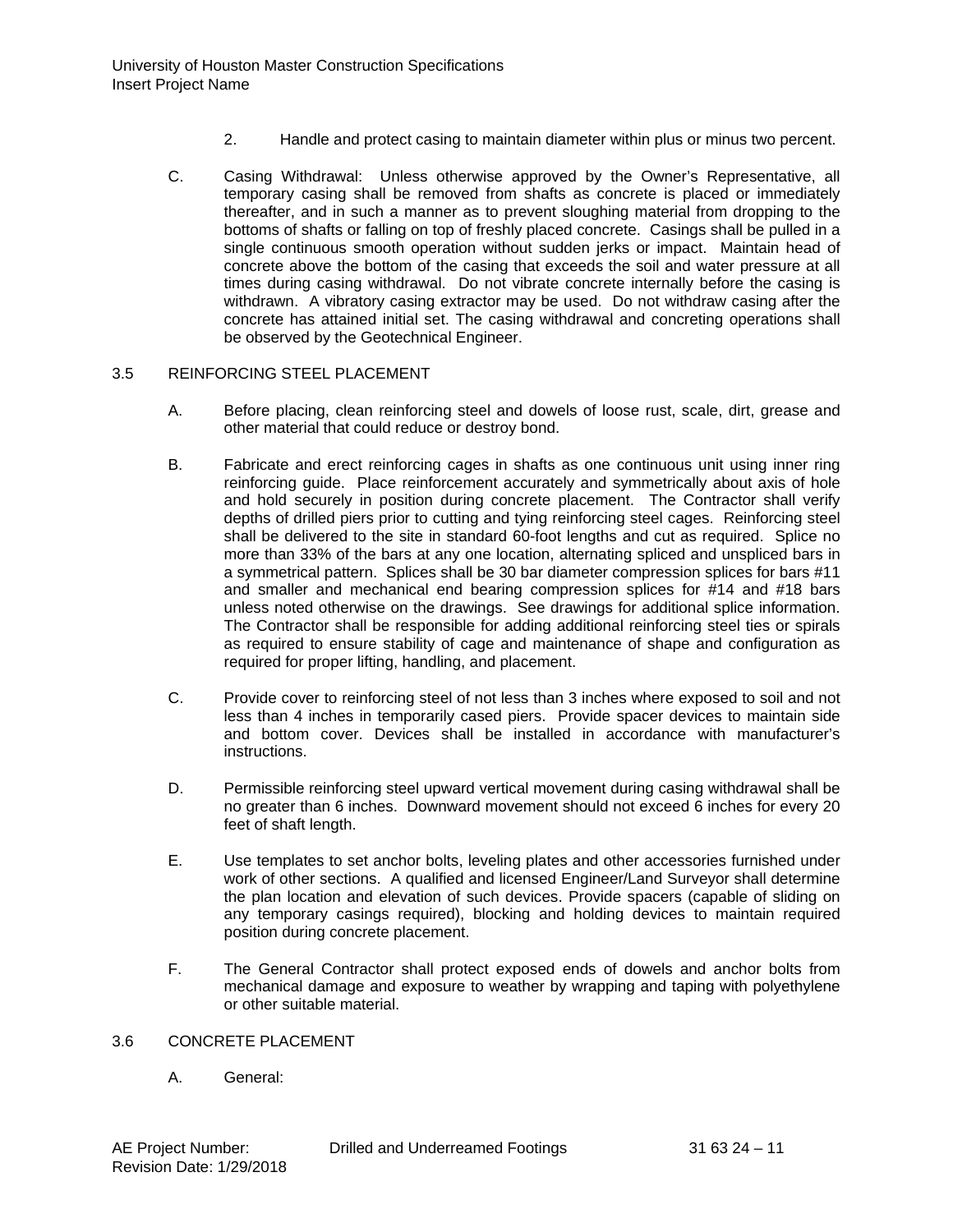- 2. Handle and protect casing to maintain diameter within plus or minus two percent.
- C. Casing Withdrawal: Unless otherwise approved by the Owner's Representative, all temporary casing shall be removed from shafts as concrete is placed or immediately thereafter, and in such a manner as to prevent sloughing material from dropping to the bottoms of shafts or falling on top of freshly placed concrete. Casings shall be pulled in a single continuous smooth operation without sudden jerks or impact. Maintain head of concrete above the bottom of the casing that exceeds the soil and water pressure at all times during casing withdrawal. Do not vibrate concrete internally before the casing is withdrawn. A vibratory casing extractor may be used. Do not withdraw casing after the concrete has attained initial set. The casing withdrawal and concreting operations shall be observed by the Geotechnical Engineer.

### 3.5 REINFORCING STEEL PLACEMENT

- A. Before placing, clean reinforcing steel and dowels of loose rust, scale, dirt, grease and other material that could reduce or destroy bond.
- B. Fabricate and erect reinforcing cages in shafts as one continuous unit using inner ring reinforcing guide. Place reinforcement accurately and symmetrically about axis of hole and hold securely in position during concrete placement. The Contractor shall verify depths of drilled piers prior to cutting and tying reinforcing steel cages. Reinforcing steel shall be delivered to the site in standard 60-foot lengths and cut as required. Splice no more than 33% of the bars at any one location, alternating spliced and unspliced bars in a symmetrical pattern. Splices shall be 30 bar diameter compression splices for bars #11 and smaller and mechanical end bearing compression splices for #14 and #18 bars unless noted otherwise on the drawings. See drawings for additional splice information. The Contractor shall be responsible for adding additional reinforcing steel ties or spirals as required to ensure stability of cage and maintenance of shape and configuration as required for proper lifting, handling, and placement.
- C. Provide cover to reinforcing steel of not less than 3 inches where exposed to soil and not less than 4 inches in temporarily cased piers. Provide spacer devices to maintain side and bottom cover. Devices shall be installed in accordance with manufacturer's instructions.
- D. Permissible reinforcing steel upward vertical movement during casing withdrawal shall be no greater than 6 inches. Downward movement should not exceed 6 inches for every 20 feet of shaft length.
- E. Use templates to set anchor bolts, leveling plates and other accessories furnished under work of other sections. A qualified and licensed Engineer/Land Surveyor shall determine the plan location and elevation of such devices. Provide spacers (capable of sliding on any temporary casings required), blocking and holding devices to maintain required position during concrete placement.
- F. The General Contractor shall protect exposed ends of dowels and anchor bolts from mechanical damage and exposure to weather by wrapping and taping with polyethylene or other suitable material.

# 3.6 CONCRETE PLACEMENT

A. General: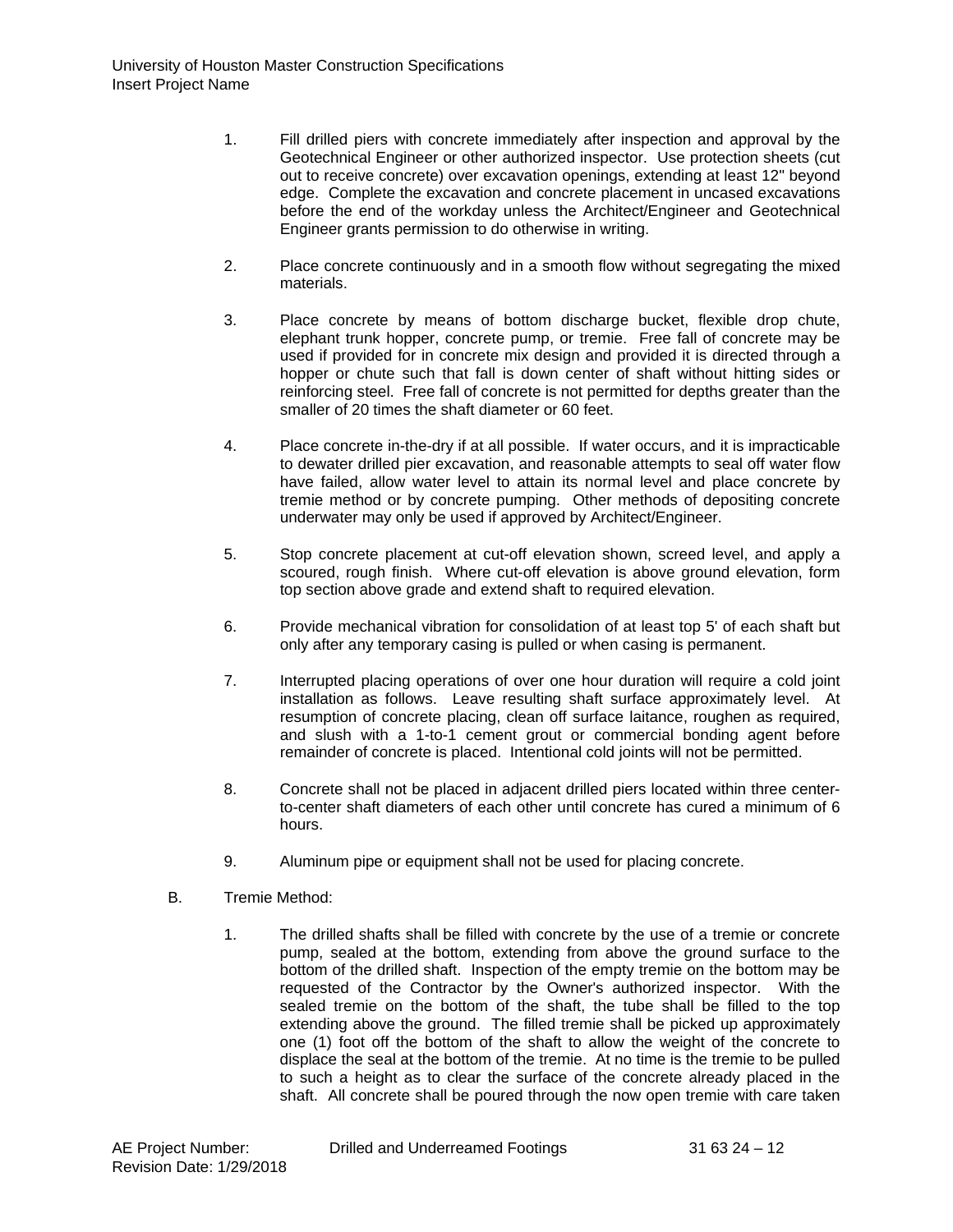- 1. Fill drilled piers with concrete immediately after inspection and approval by the Geotechnical Engineer or other authorized inspector. Use protection sheets (cut out to receive concrete) over excavation openings, extending at least 12" beyond edge. Complete the excavation and concrete placement in uncased excavations before the end of the workday unless the Architect/Engineer and Geotechnical Engineer grants permission to do otherwise in writing.
- 2. Place concrete continuously and in a smooth flow without segregating the mixed materials.
- 3. Place concrete by means of bottom discharge bucket, flexible drop chute, elephant trunk hopper, concrete pump, or tremie. Free fall of concrete may be used if provided for in concrete mix design and provided it is directed through a hopper or chute such that fall is down center of shaft without hitting sides or reinforcing steel. Free fall of concrete is not permitted for depths greater than the smaller of 20 times the shaft diameter or 60 feet.
- 4. Place concrete in-the-dry if at all possible. If water occurs, and it is impracticable to dewater drilled pier excavation, and reasonable attempts to seal off water flow have failed, allow water level to attain its normal level and place concrete by tremie method or by concrete pumping. Other methods of depositing concrete underwater may only be used if approved by Architect/Engineer.
- 5. Stop concrete placement at cut-off elevation shown, screed level, and apply a scoured, rough finish. Where cut-off elevation is above ground elevation, form top section above grade and extend shaft to required elevation.
- 6. Provide mechanical vibration for consolidation of at least top 5' of each shaft but only after any temporary casing is pulled or when casing is permanent.
- 7. Interrupted placing operations of over one hour duration will require a cold joint installation as follows. Leave resulting shaft surface approximately level. At resumption of concrete placing, clean off surface laitance, roughen as required, and slush with a 1-to-1 cement grout or commercial bonding agent before remainder of concrete is placed. Intentional cold joints will not be permitted.
- 8. Concrete shall not be placed in adjacent drilled piers located within three centerto-center shaft diameters of each other until concrete has cured a minimum of 6 hours.
- 9. Aluminum pipe or equipment shall not be used for placing concrete.
- B. Tremie Method:
	- 1. The drilled shafts shall be filled with concrete by the use of a tremie or concrete pump, sealed at the bottom, extending from above the ground surface to the bottom of the drilled shaft. Inspection of the empty tremie on the bottom may be requested of the Contractor by the Owner's authorized inspector. With the sealed tremie on the bottom of the shaft, the tube shall be filled to the top extending above the ground. The filled tremie shall be picked up approximately one (1) foot off the bottom of the shaft to allow the weight of the concrete to displace the seal at the bottom of the tremie. At no time is the tremie to be pulled to such a height as to clear the surface of the concrete already placed in the shaft. All concrete shall be poured through the now open tremie with care taken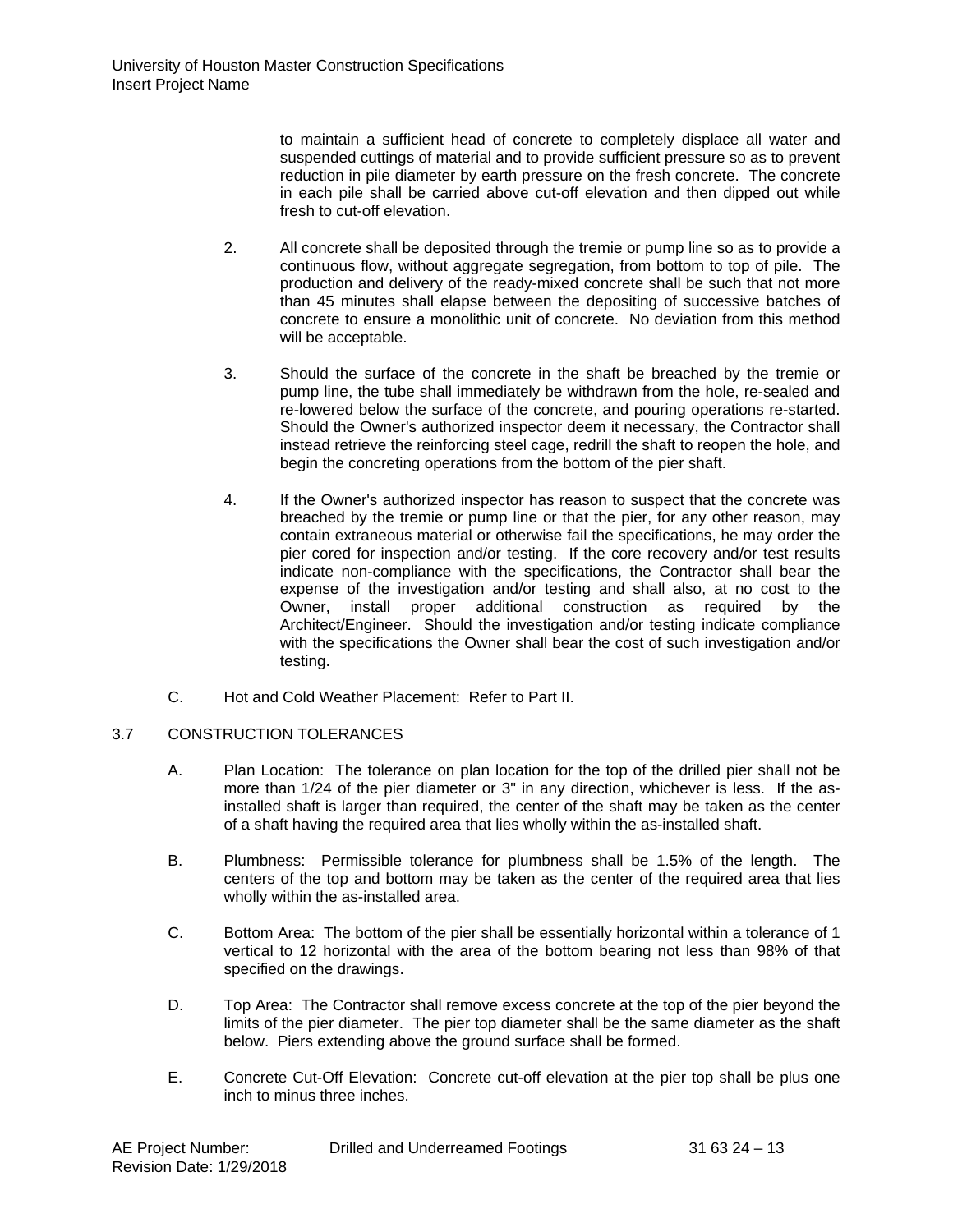to maintain a sufficient head of concrete to completely displace all water and suspended cuttings of material and to provide sufficient pressure so as to prevent reduction in pile diameter by earth pressure on the fresh concrete. The concrete in each pile shall be carried above cut-off elevation and then dipped out while fresh to cut-off elevation.

- 2. All concrete shall be deposited through the tremie or pump line so as to provide a continuous flow, without aggregate segregation, from bottom to top of pile. The production and delivery of the ready-mixed concrete shall be such that not more than 45 minutes shall elapse between the depositing of successive batches of concrete to ensure a monolithic unit of concrete. No deviation from this method will be acceptable.
- 3. Should the surface of the concrete in the shaft be breached by the tremie or pump line, the tube shall immediately be withdrawn from the hole, re-sealed and re-lowered below the surface of the concrete, and pouring operations re-started. Should the Owner's authorized inspector deem it necessary, the Contractor shall instead retrieve the reinforcing steel cage, redrill the shaft to reopen the hole, and begin the concreting operations from the bottom of the pier shaft.
- 4. If the Owner's authorized inspector has reason to suspect that the concrete was breached by the tremie or pump line or that the pier, for any other reason, may contain extraneous material or otherwise fail the specifications, he may order the pier cored for inspection and/or testing. If the core recovery and/or test results indicate non-compliance with the specifications, the Contractor shall bear the expense of the investigation and/or testing and shall also, at no cost to the Owner, install proper additional construction as required by the Architect/Engineer. Should the investigation and/or testing indicate compliance with the specifications the Owner shall bear the cost of such investigation and/or testing.
- C. Hot and Cold Weather Placement: Refer to Part II.

# 3.7 CONSTRUCTION TOLERANCES

- A. Plan Location: The tolerance on plan location for the top of the drilled pier shall not be more than 1/24 of the pier diameter or 3" in any direction, whichever is less. If the asinstalled shaft is larger than required, the center of the shaft may be taken as the center of a shaft having the required area that lies wholly within the as-installed shaft.
- B. Plumbness: Permissible tolerance for plumbness shall be 1.5% of the length. The centers of the top and bottom may be taken as the center of the required area that lies wholly within the as-installed area.
- C. Bottom Area: The bottom of the pier shall be essentially horizontal within a tolerance of 1 vertical to 12 horizontal with the area of the bottom bearing not less than 98% of that specified on the drawings.
- D. Top Area: The Contractor shall remove excess concrete at the top of the pier beyond the limits of the pier diameter. The pier top diameter shall be the same diameter as the shaft below. Piers extending above the ground surface shall be formed.
- E. Concrete Cut-Off Elevation: Concrete cut-off elevation at the pier top shall be plus one inch to minus three inches.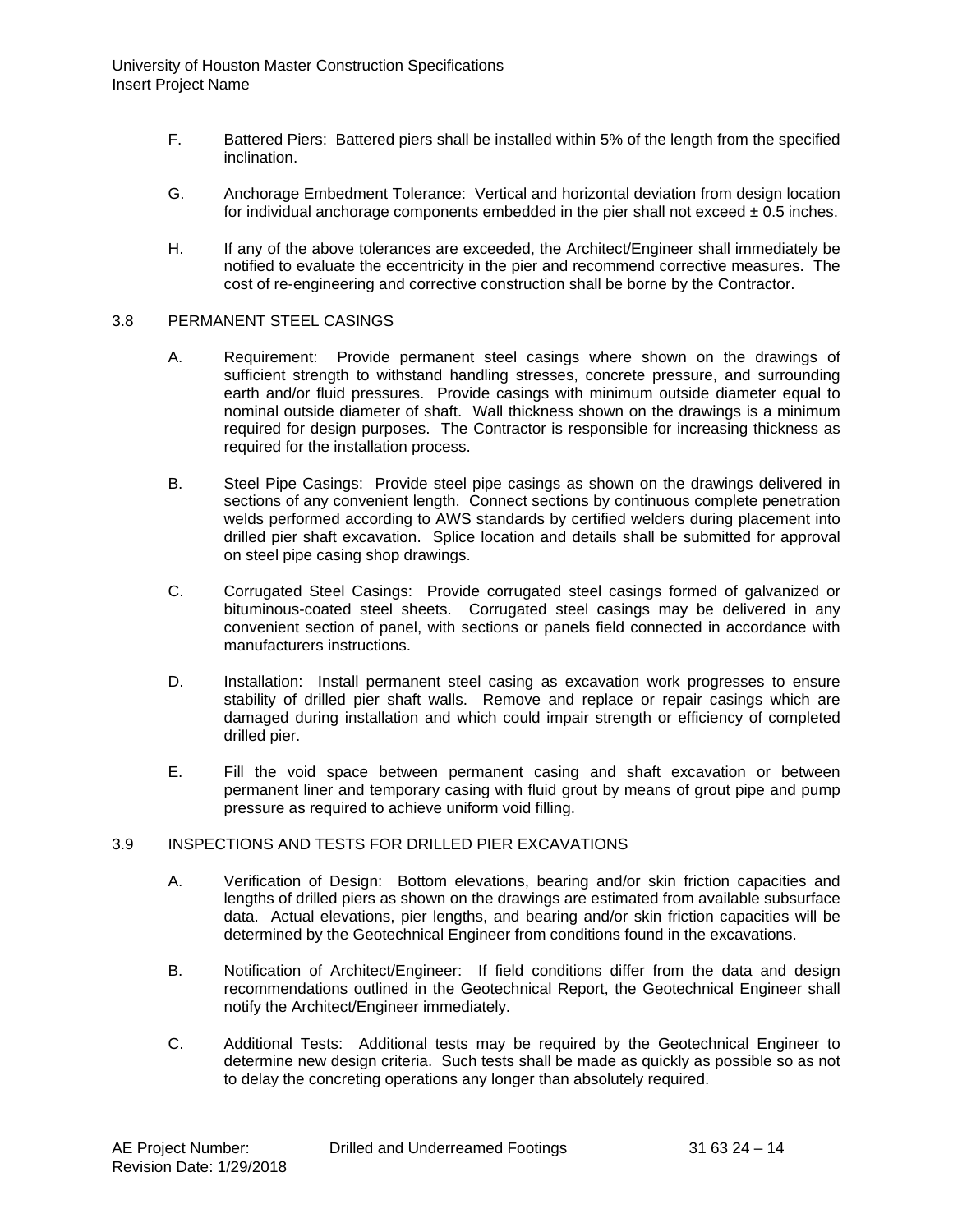- F. Battered Piers: Battered piers shall be installed within 5% of the length from the specified inclination.
- G. Anchorage Embedment Tolerance: Vertical and horizontal deviation from design location for individual anchorage components embedded in the pier shall not exceed  $\pm$  0.5 inches.
- H. If any of the above tolerances are exceeded, the Architect/Engineer shall immediately be notified to evaluate the eccentricity in the pier and recommend corrective measures. The cost of re-engineering and corrective construction shall be borne by the Contractor.

#### 3.8 PERMANENT STEEL CASINGS

- A. Requirement: Provide permanent steel casings where shown on the drawings of sufficient strength to withstand handling stresses, concrete pressure, and surrounding earth and/or fluid pressures. Provide casings with minimum outside diameter equal to nominal outside diameter of shaft. Wall thickness shown on the drawings is a minimum required for design purposes. The Contractor is responsible for increasing thickness as required for the installation process.
- B. Steel Pipe Casings: Provide steel pipe casings as shown on the drawings delivered in sections of any convenient length. Connect sections by continuous complete penetration welds performed according to AWS standards by certified welders during placement into drilled pier shaft excavation. Splice location and details shall be submitted for approval on steel pipe casing shop drawings.
- C. Corrugated Steel Casings: Provide corrugated steel casings formed of galvanized or bituminous-coated steel sheets. Corrugated steel casings may be delivered in any convenient section of panel, with sections or panels field connected in accordance with manufacturers instructions.
- D. Installation: Install permanent steel casing as excavation work progresses to ensure stability of drilled pier shaft walls. Remove and replace or repair casings which are damaged during installation and which could impair strength or efficiency of completed drilled pier.
- E. Fill the void space between permanent casing and shaft excavation or between permanent liner and temporary casing with fluid grout by means of grout pipe and pump pressure as required to achieve uniform void filling.

# 3.9 INSPECTIONS AND TESTS FOR DRILLED PIER EXCAVATIONS

- A. Verification of Design: Bottom elevations, bearing and/or skin friction capacities and lengths of drilled piers as shown on the drawings are estimated from available subsurface data. Actual elevations, pier lengths, and bearing and/or skin friction capacities will be determined by the Geotechnical Engineer from conditions found in the excavations.
- B. Notification of Architect/Engineer: If field conditions differ from the data and design recommendations outlined in the Geotechnical Report, the Geotechnical Engineer shall notify the Architect/Engineer immediately.
- C. Additional Tests: Additional tests may be required by the Geotechnical Engineer to determine new design criteria. Such tests shall be made as quickly as possible so as not to delay the concreting operations any longer than absolutely required.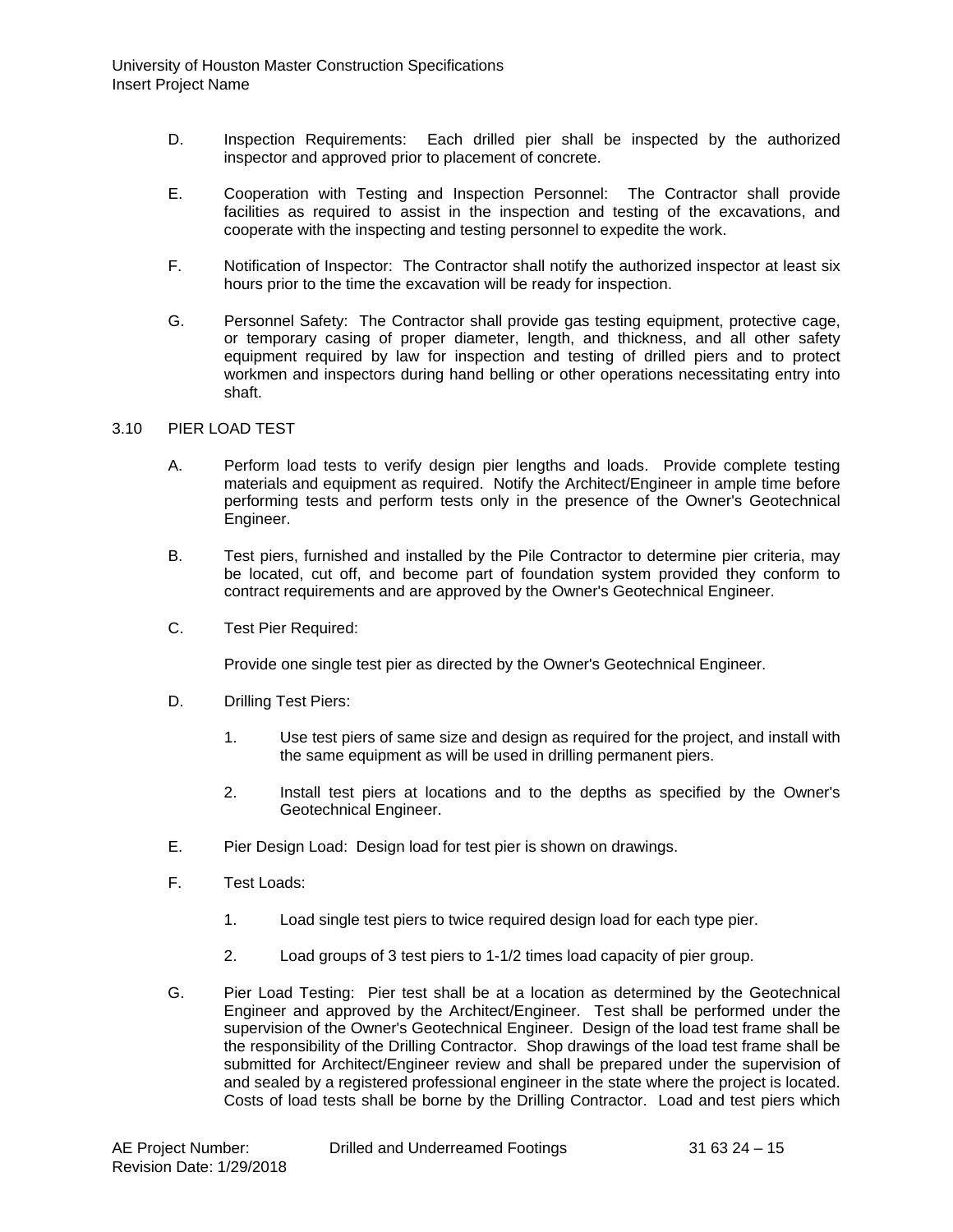- D. Inspection Requirements: Each drilled pier shall be inspected by the authorized inspector and approved prior to placement of concrete.
- E. Cooperation with Testing and Inspection Personnel: The Contractor shall provide facilities as required to assist in the inspection and testing of the excavations, and cooperate with the inspecting and testing personnel to expedite the work.
- F. Notification of Inspector: The Contractor shall notify the authorized inspector at least six hours prior to the time the excavation will be ready for inspection.
- G. Personnel Safety: The Contractor shall provide gas testing equipment, protective cage, or temporary casing of proper diameter, length, and thickness, and all other safety equipment required by law for inspection and testing of drilled piers and to protect workmen and inspectors during hand belling or other operations necessitating entry into shaft.

### 3.10 PIER LOAD TEST

- A. Perform load tests to verify design pier lengths and loads. Provide complete testing materials and equipment as required. Notify the Architect/Engineer in ample time before performing tests and perform tests only in the presence of the Owner's Geotechnical Engineer.
- B. Test piers, furnished and installed by the Pile Contractor to determine pier criteria, may be located, cut off, and become part of foundation system provided they conform to contract requirements and are approved by the Owner's Geotechnical Engineer.
- C. Test Pier Required:

Provide one single test pier as directed by the Owner's Geotechnical Engineer.

- D. Drilling Test Piers:
	- 1. Use test piers of same size and design as required for the project, and install with the same equipment as will be used in drilling permanent piers.
	- 2. Install test piers at locations and to the depths as specified by the Owner's Geotechnical Engineer.
- E. Pier Design Load: Design load for test pier is shown on drawings.
- F. Test Loads:
	- 1. Load single test piers to twice required design load for each type pier.
	- 2. Load groups of 3 test piers to 1-1/2 times load capacity of pier group.
- G. Pier Load Testing: Pier test shall be at a location as determined by the Geotechnical Engineer and approved by the Architect/Engineer. Test shall be performed under the supervision of the Owner's Geotechnical Engineer. Design of the load test frame shall be the responsibility of the Drilling Contractor. Shop drawings of the load test frame shall be submitted for Architect/Engineer review and shall be prepared under the supervision of and sealed by a registered professional engineer in the state where the project is located. Costs of load tests shall be borne by the Drilling Contractor. Load and test piers which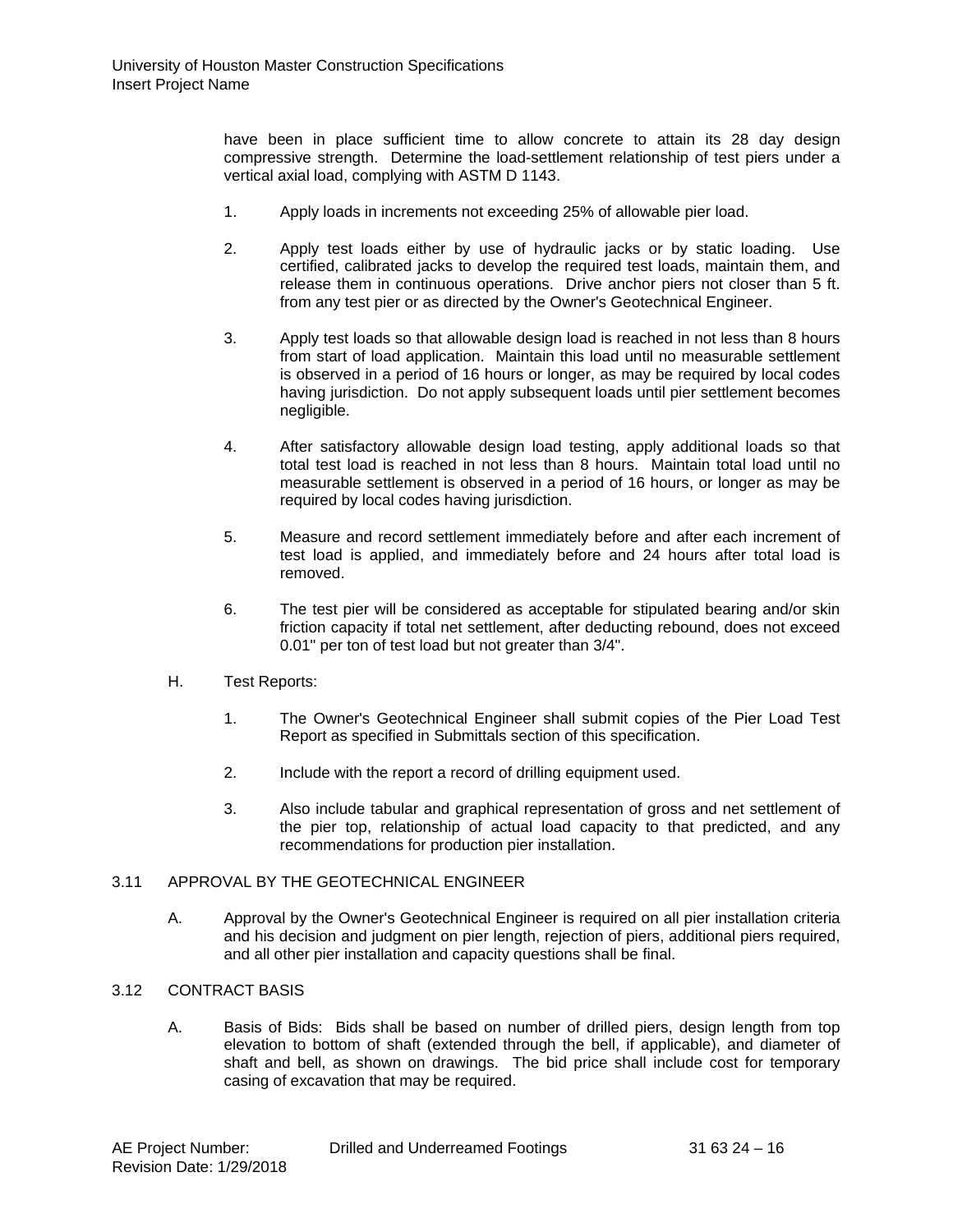have been in place sufficient time to allow concrete to attain its 28 day design compressive strength. Determine the load-settlement relationship of test piers under a vertical axial load, complying with ASTM D 1143.

- 1. Apply loads in increments not exceeding 25% of allowable pier load.
- 2. Apply test loads either by use of hydraulic jacks or by static loading. Use certified, calibrated jacks to develop the required test loads, maintain them, and release them in continuous operations. Drive anchor piers not closer than 5 ft. from any test pier or as directed by the Owner's Geotechnical Engineer.
- 3. Apply test loads so that allowable design load is reached in not less than 8 hours from start of load application. Maintain this load until no measurable settlement is observed in a period of 16 hours or longer, as may be required by local codes having jurisdiction. Do not apply subsequent loads until pier settlement becomes negligible.
- 4. After satisfactory allowable design load testing, apply additional loads so that total test load is reached in not less than 8 hours. Maintain total load until no measurable settlement is observed in a period of 16 hours, or longer as may be required by local codes having jurisdiction.
- 5. Measure and record settlement immediately before and after each increment of test load is applied, and immediately before and 24 hours after total load is removed.
- 6. The test pier will be considered as acceptable for stipulated bearing and/or skin friction capacity if total net settlement, after deducting rebound, does not exceed 0.01" per ton of test load but not greater than 3/4".
- H. Test Reports:
	- 1. The Owner's Geotechnical Engineer shall submit copies of the Pier Load Test Report as specified in Submittals section of this specification.
	- 2. Include with the report a record of drilling equipment used.
	- 3. Also include tabular and graphical representation of gross and net settlement of the pier top, relationship of actual load capacity to that predicted, and any recommendations for production pier installation.

### 3.11 APPROVAL BY THE GEOTECHNICAL ENGINEER

A. Approval by the Owner's Geotechnical Engineer is required on all pier installation criteria and his decision and judgment on pier length, rejection of piers, additional piers required, and all other pier installation and capacity questions shall be final.

#### 3.12 CONTRACT BASIS

A. Basis of Bids: Bids shall be based on number of drilled piers, design length from top elevation to bottom of shaft (extended through the bell, if applicable), and diameter of shaft and bell, as shown on drawings. The bid price shall include cost for temporary casing of excavation that may be required.